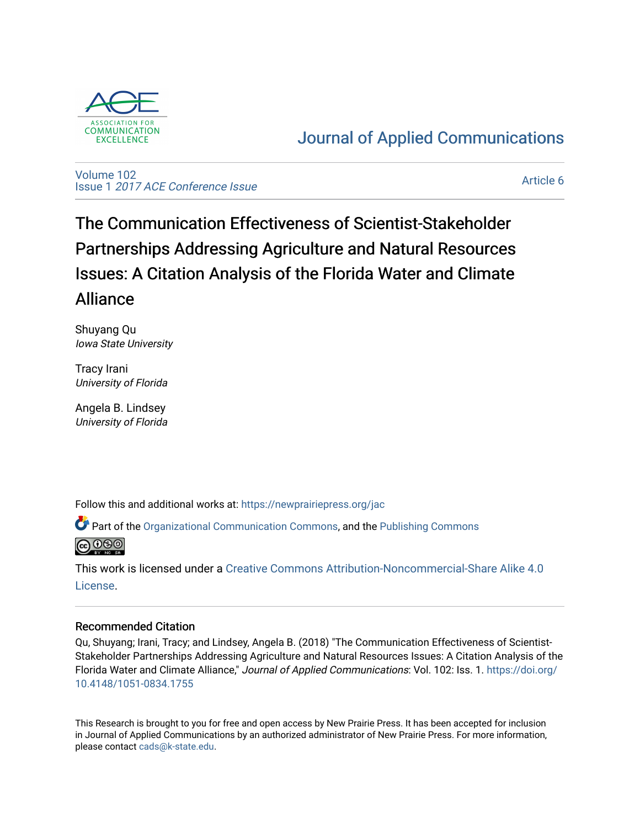

# [Journal of Applied Communications](https://newprairiepress.org/jac)

[Volume 102](https://newprairiepress.org/jac/vol102) Issue 1 [2017 ACE Conference Issue](https://newprairiepress.org/jac/vol102/iss1) 

[Article 6](https://newprairiepress.org/jac/vol102/iss1/6) 

The Communication Effectiveness of Scientist-Stakeholder Partnerships Addressing Agriculture and Natural Resources Issues: A Citation Analysis of the Florida Water and Climate Alliance

Shuyang Qu Iowa State University

Tracy Irani University of Florida

Angela B. Lindsey University of Florida

Follow this and additional works at: [https://newprairiepress.org/jac](https://newprairiepress.org/jac?utm_source=newprairiepress.org%2Fjac%2Fvol102%2Fiss1%2F6&utm_medium=PDF&utm_campaign=PDFCoverPages)

Part of the [Organizational Communication Commons](http://network.bepress.com/hgg/discipline/335?utm_source=newprairiepress.org%2Fjac%2Fvol102%2Fiss1%2F6&utm_medium=PDF&utm_campaign=PDFCoverPages), and the [Publishing Commons](http://network.bepress.com/hgg/discipline/1357?utm_source=newprairiepress.org%2Fjac%2Fvol102%2Fiss1%2F6&utm_medium=PDF&utm_campaign=PDFCoverPages) 



This work is licensed under a [Creative Commons Attribution-Noncommercial-Share Alike 4.0](https://creativecommons.org/licenses/by-nc-sa/4.0/) [License.](https://creativecommons.org/licenses/by-nc-sa/4.0/)

# Recommended Citation

Qu, Shuyang; Irani, Tracy; and Lindsey, Angela B. (2018) "The Communication Effectiveness of Scientist-Stakeholder Partnerships Addressing Agriculture and Natural Resources Issues: A Citation Analysis of the Florida Water and Climate Alliance," Journal of Applied Communications: Vol. 102: Iss. 1. [https://doi.org/](https://doi.org/10.4148/1051-0834.1755) [10.4148/1051-0834.1755](https://doi.org/10.4148/1051-0834.1755)

This Research is brought to you for free and open access by New Prairie Press. It has been accepted for inclusion in Journal of Applied Communications by an authorized administrator of New Prairie Press. For more information, please contact [cads@k-state.edu.](mailto:cads@k-state.edu)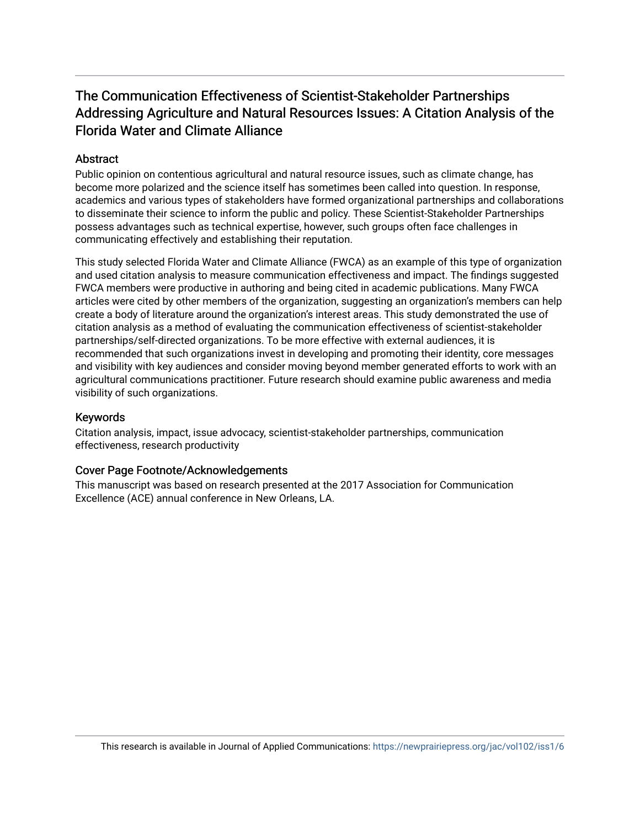# The Communication Effectiveness of Scientist-Stakeholder Partnerships Addressing Agriculture and Natural Resources Issues: A Citation Analysis of the Florida Water and Climate Alliance

# **Abstract**

Public opinion on contentious agricultural and natural resource issues, such as climate change, has become more polarized and the science itself has sometimes been called into question. In response, academics and various types of stakeholders have formed organizational partnerships and collaborations to disseminate their science to inform the public and policy. These Scientist-Stakeholder Partnerships possess advantages such as technical expertise, however, such groups often face challenges in communicating effectively and establishing their reputation.

This study selected Florida Water and Climate Alliance (FWCA) as an example of this type of organization and used citation analysis to measure communication effectiveness and impact. The findings suggested FWCA members were productive in authoring and being cited in academic publications. Many FWCA articles were cited by other members of the organization, suggesting an organization's members can help create a body of literature around the organization's interest areas. This study demonstrated the use of citation analysis as a method of evaluating the communication effectiveness of scientist-stakeholder partnerships/self-directed organizations. To be more effective with external audiences, it is recommended that such organizations invest in developing and promoting their identity, core messages and visibility with key audiences and consider moving beyond member generated efforts to work with an agricultural communications practitioner. Future research should examine public awareness and media visibility of such organizations.

# Keywords

Citation analysis, impact, issue advocacy, scientist-stakeholder partnerships, communication effectiveness, research productivity

# Cover Page Footnote/Acknowledgements

This manuscript was based on research presented at the 2017 Association for Communication Excellence (ACE) annual conference in New Orleans, LA.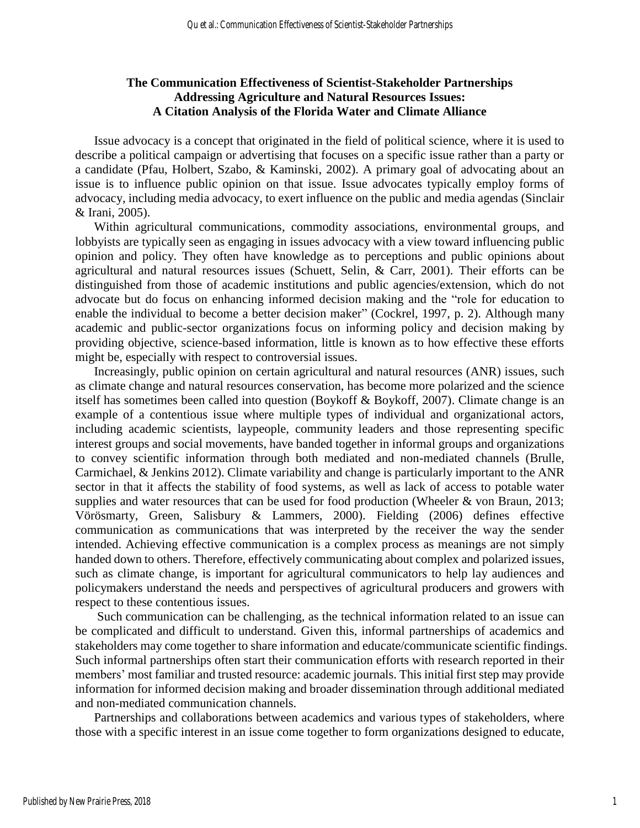# **The Communication Effectiveness of Scientist-Stakeholder Partnerships Addressing Agriculture and Natural Resources Issues: A Citation Analysis of the Florida Water and Climate Alliance**

Issue advocacy is a concept that originated in the field of political science, where it is used to describe a political campaign or advertising that focuses on a specific issue rather than a party or a candidate (Pfau, Holbert, Szabo, & Kaminski, 2002). A primary goal of advocating about an issue is to influence public opinion on that issue. Issue advocates typically employ forms of advocacy, including media advocacy, to exert influence on the public and media agendas (Sinclair & Irani, 2005).

Within agricultural communications, commodity associations, environmental groups, and lobbyists are typically seen as engaging in issues advocacy with a view toward influencing public opinion and policy. They often have knowledge as to perceptions and public opinions about agricultural and natural resources issues (Schuett, Selin, & Carr, 2001). Their efforts can be distinguished from those of academic institutions and public agencies/extension, which do not advocate but do focus on enhancing informed decision making and the "role for education to enable the individual to become a better decision maker" (Cockrel, 1997, p. 2). Although many academic and public-sector organizations focus on informing policy and decision making by providing objective, science-based information, little is known as to how effective these efforts might be, especially with respect to controversial issues.

Increasingly, public opinion on certain agricultural and natural resources (ANR) issues, such as climate change and natural resources conservation, has become more polarized and the science itself has sometimes been called into question (Boykoff & Boykoff, 2007). Climate change is an example of a contentious issue where multiple types of individual and organizational actors, including academic scientists, laypeople, community leaders and those representing specific interest groups and social movements, have banded together in informal groups and organizations to convey scientific information through both mediated and non-mediated channels (Brulle, Carmichael, & Jenkins 2012). Climate variability and change is particularly important to the ANR sector in that it affects the stability of food systems, as well as lack of access to potable water supplies and water resources that can be used for food production (Wheeler & von Braun, 2013; Vörösmarty, Green, Salisbury & Lammers, 2000). Fielding (2006) defines effective communication as communications that was interpreted by the receiver the way the sender intended. Achieving effective communication is a complex process as meanings are not simply handed down to others. Therefore, effectively communicating about complex and polarized issues, such as climate change, is important for agricultural communicators to help lay audiences and policymakers understand the needs and perspectives of agricultural producers and growers with respect to these contentious issues.

Such communication can be challenging, as the technical information related to an issue can be complicated and difficult to understand. Given this, informal partnerships of academics and stakeholders may come together to share information and educate/communicate scientific findings. Such informal partnerships often start their communication efforts with research reported in their members' most familiar and trusted resource: academic journals. This initial first step may provide information for informed decision making and broader dissemination through additional mediated and non-mediated communication channels.

Partnerships and collaborations between academics and various types of stakeholders, where those with a specific interest in an issue come together to form organizations designed to educate,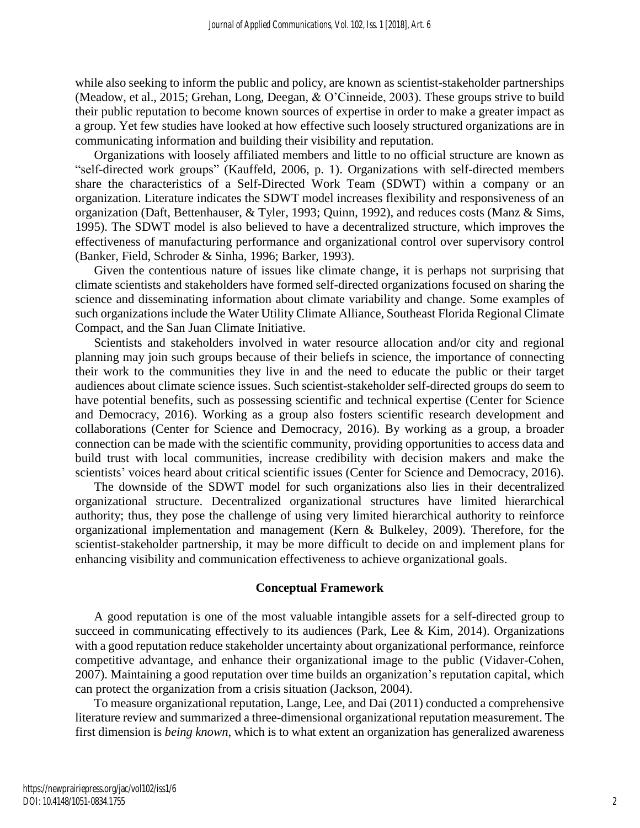while also seeking to inform the public and policy, are known as scientist-stakeholder partnerships (Meadow, et al., 2015; Grehan, Long, Deegan, & O'Cinneide, 2003). These groups strive to build their public reputation to become known sources of expertise in order to make a greater impact as a group. Yet few studies have looked at how effective such loosely structured organizations are in communicating information and building their visibility and reputation.

Organizations with loosely affiliated members and little to no official structure are known as "self-directed work groups" (Kauffeld, 2006, p. 1). Organizations with self-directed members share the characteristics of a Self-Directed Work Team (SDWT) within a company or an organization. Literature indicates the SDWT model increases flexibility and responsiveness of an organization (Daft, Bettenhauser, & Tyler, 1993; Quinn, 1992), and reduces costs (Manz & Sims, 1995). The SDWT model is also believed to have a decentralized structure, which improves the effectiveness of manufacturing performance and organizational control over supervisory control (Banker, Field, Schroder & Sinha, 1996; Barker, 1993).

Given the contentious nature of issues like climate change, it is perhaps not surprising that climate scientists and stakeholders have formed self-directed organizations focused on sharing the science and disseminating information about climate variability and change. Some examples of such organizations include the Water Utility Climate Alliance, Southeast Florida Regional Climate Compact, and the San Juan Climate Initiative.

Scientists and stakeholders involved in water resource allocation and/or city and regional planning may join such groups because of their beliefs in science, the importance of connecting their work to the communities they live in and the need to educate the public or their target audiences about climate science issues. Such scientist-stakeholder self-directed groups do seem to have potential benefits, such as possessing scientific and technical expertise (Center for Science and Democracy, 2016). Working as a group also fosters scientific research development and collaborations (Center for Science and Democracy, 2016). By working as a group, a broader connection can be made with the scientific community, providing opportunities to access data and build trust with local communities, increase credibility with decision makers and make the scientists' voices heard about critical scientific issues (Center for Science and Democracy, 2016).

The downside of the SDWT model for such organizations also lies in their decentralized organizational structure. Decentralized organizational structures have limited hierarchical authority; thus, they pose the challenge of using very limited hierarchical authority to reinforce organizational implementation and management (Kern & Bulkeley, 2009). Therefore, for the scientist-stakeholder partnership, it may be more difficult to decide on and implement plans for enhancing visibility and communication effectiveness to achieve organizational goals.

#### **Conceptual Framework**

A good reputation is one of the most valuable intangible assets for a self-directed group to succeed in communicating effectively to its audiences (Park, Lee & Kim, 2014). Organizations with a good reputation reduce stakeholder uncertainty about organizational performance, reinforce competitive advantage, and enhance their organizational image to the public (Vidaver-Cohen, 2007). Maintaining a good reputation over time builds an organization's reputation capital, which can protect the organization from a crisis situation (Jackson, 2004).

To measure organizational reputation, Lange, Lee, and Dai (2011) conducted a comprehensive literature review and summarized a three-dimensional organizational reputation measurement. The first dimension is *being known*, which is to what extent an organization has generalized awareness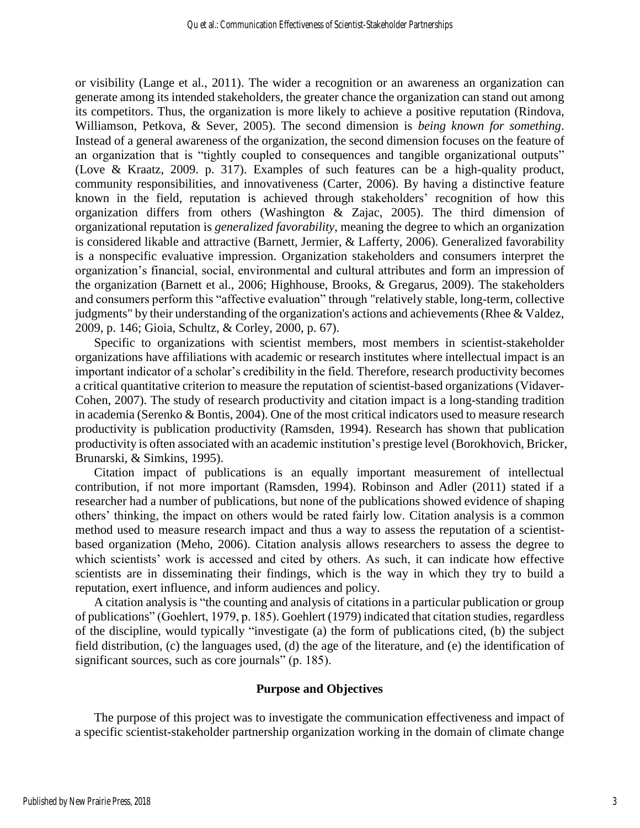or visibility (Lange et al., 2011). The wider a recognition or an awareness an organization can generate among its intended stakeholders, the greater chance the organization can stand out among its competitors. Thus, the organization is more likely to achieve a positive reputation (Rindova, Williamson, Petkova, & Sever, 2005). The second dimension is *being known for something*. Instead of a general awareness of the organization, the second dimension focuses on the feature of an organization that is "tightly coupled to consequences and tangible organizational outputs" (Love & Kraatz, 2009. p. 317). Examples of such features can be a high-quality product, community responsibilities, and innovativeness (Carter, 2006). By having a distinctive feature known in the field, reputation is achieved through stakeholders' recognition of how this organization differs from others (Washington & Zajac, 2005). The third dimension of organizational reputation is *generalized favorability*, meaning the degree to which an organization is considered likable and attractive (Barnett, Jermier, & Lafferty, 2006). Generalized favorability is a nonspecific evaluative impression. Organization stakeholders and consumers interpret the organization's financial, social, environmental and cultural attributes and form an impression of the organization (Barnett et al., 2006; Highhouse, Brooks, & Gregarus, 2009). The stakeholders and consumers perform this "affective evaluation" through "relatively stable, long-term, collective judgments" by their understanding of the organization's actions and achievements (Rhee & Valdez, 2009, p. 146; Gioia, Schultz, & Corley, 2000, p. 67).

Specific to organizations with scientist members, most members in scientist-stakeholder organizations have affiliations with academic or research institutes where intellectual impact is an important indicator of a scholar's credibility in the field. Therefore, research productivity becomes a critical quantitative criterion to measure the reputation of scientist-based organizations (Vidaver-Cohen, 2007). The study of research productivity and citation impact is a long-standing tradition in academia (Serenko & Bontis, 2004). One of the most critical indicators used to measure research productivity is publication productivity (Ramsden, 1994). Research has shown that publication productivity is often associated with an academic institution's prestige level (Borokhovich, Bricker, Brunarski, & Simkins, 1995).

Citation impact of publications is an equally important measurement of intellectual contribution, if not more important (Ramsden, 1994). Robinson and Adler (2011) stated if a researcher had a number of publications, but none of the publications showed evidence of shaping others' thinking, the impact on others would be rated fairly low. Citation analysis is a common method used to measure research impact and thus a way to assess the reputation of a scientistbased organization (Meho, 2006). Citation analysis allows researchers to assess the degree to which scientists' work is accessed and cited by others. As such, it can indicate how effective scientists are in disseminating their findings, which is the way in which they try to build a reputation, exert influence, and inform audiences and policy.

A citation analysis is "the counting and analysis of citations in a particular publication or group of publications" (Goehlert, 1979, p. 185). Goehlert (1979) indicated that citation studies, regardless of the discipline, would typically "investigate (a) the form of publications cited, (b) the subject field distribution, (c) the languages used, (d) the age of the literature, and (e) the identification of significant sources, such as core journals" (p. 185).

#### **Purpose and Objectives**

The purpose of this project was to investigate the communication effectiveness and impact of a specific scientist-stakeholder partnership organization working in the domain of climate change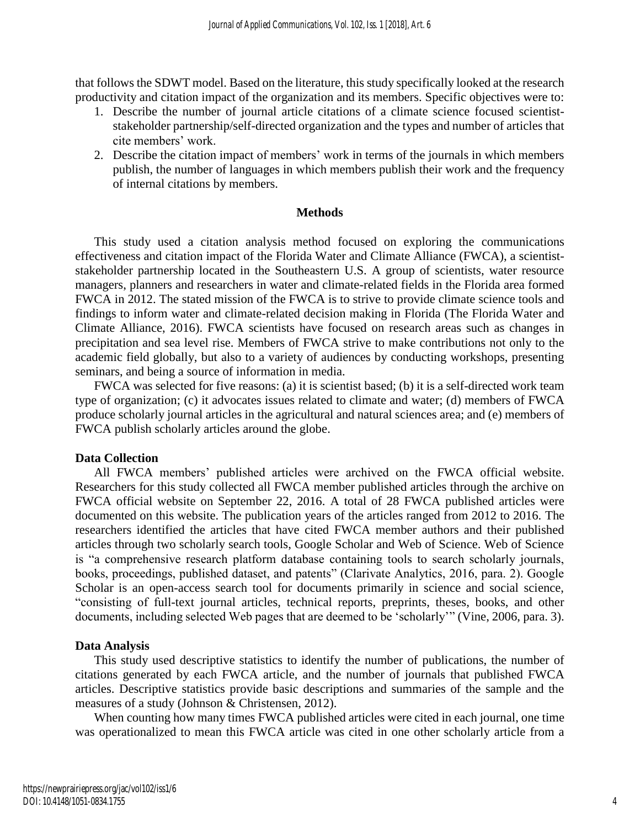that follows the SDWT model. Based on the literature, this study specifically looked at the research productivity and citation impact of the organization and its members. Specific objectives were to:

- 1. Describe the number of journal article citations of a climate science focused scientiststakeholder partnership/self-directed organization and the types and number of articles that cite members' work.
- 2. Describe the citation impact of members' work in terms of the journals in which members publish, the number of languages in which members publish their work and the frequency of internal citations by members.

#### **Methods**

This study used a citation analysis method focused on exploring the communications effectiveness and citation impact of the Florida Water and Climate Alliance (FWCA), a scientiststakeholder partnership located in the Southeastern U.S. A group of scientists, water resource managers, planners and researchers in water and climate-related fields in the Florida area formed FWCA in 2012. The stated mission of the FWCA is to strive to provide climate science tools and findings to inform water and climate-related decision making in Florida (The Florida Water and Climate Alliance, 2016). FWCA scientists have focused on research areas such as changes in precipitation and sea level rise. Members of FWCA strive to make contributions not only to the academic field globally, but also to a variety of audiences by conducting workshops, presenting seminars, and being a source of information in media.

FWCA was selected for five reasons: (a) it is scientist based; (b) it is a self-directed work team type of organization; (c) it advocates issues related to climate and water; (d) members of FWCA produce scholarly journal articles in the agricultural and natural sciences area; and (e) members of FWCA publish scholarly articles around the globe.

# **Data Collection**

All FWCA members' published articles were archived on the FWCA official website. Researchers for this study collected all FWCA member published articles through the archive on FWCA official website on September 22, 2016. A total of 28 FWCA published articles were documented on this website. The publication years of the articles ranged from 2012 to 2016. The researchers identified the articles that have cited FWCA member authors and their published articles through two scholarly search tools, Google Scholar and Web of Science. Web of Science is "a comprehensive research platform database containing tools to search scholarly journals, books, proceedings, published dataset, and patents" (Clarivate Analytics, 2016, para. 2). Google Scholar is an open-access search tool for documents primarily in science and social science, "consisting of full-text journal articles, technical reports, preprints, theses, books, and other documents, including selected Web pages that are deemed to be 'scholarly'" (Vine, 2006, para. 3).

# **Data Analysis**

This study used descriptive statistics to identify the number of publications, the number of citations generated by each FWCA article, and the number of journals that published FWCA articles. Descriptive statistics provide basic descriptions and summaries of the sample and the measures of a study (Johnson & Christensen, 2012).

When counting how many times FWCA published articles were cited in each journal, one time was operationalized to mean this FWCA article was cited in one other scholarly article from a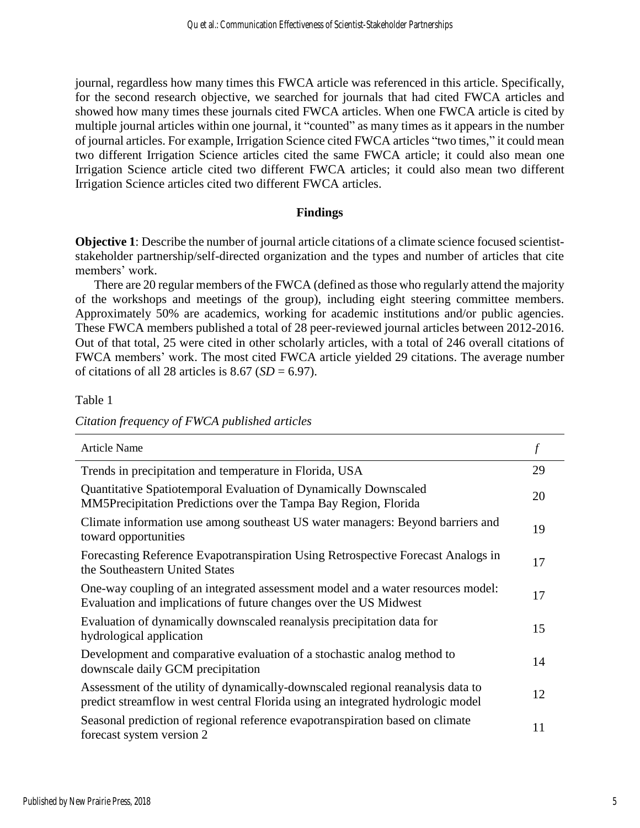journal, regardless how many times this FWCA article was referenced in this article. Specifically, for the second research objective, we searched for journals that had cited FWCA articles and showed how many times these journals cited FWCA articles. When one FWCA article is cited by multiple journal articles within one journal, it "counted" as many times as it appears in the number of journal articles. For example, Irrigation Science cited FWCA articles "two times," it could mean two different Irrigation Science articles cited the same FWCA article; it could also mean one Irrigation Science article cited two different FWCA articles; it could also mean two different Irrigation Science articles cited two different FWCA articles.

#### **Findings**

**Objective 1**: Describe the number of journal article citations of a climate science focused scientiststakeholder partnership/self-directed organization and the types and number of articles that cite members' work.

There are 20 regular members of the FWCA (defined as those who regularly attend the majority of the workshops and meetings of the group), including eight steering committee members. Approximately 50% are academics, working for academic institutions and/or public agencies. These FWCA members published a total of 28 peer-reviewed journal articles between 2012-2016. Out of that total, 25 were cited in other scholarly articles, with a total of 246 overall citations of FWCA members' work. The most cited FWCA article yielded 29 citations. The average number of citations of all 28 articles is  $8.67$  ( $SD = 6.97$ ).

Table 1

| Citation frequency of FWCA published articles |  |  |
|-----------------------------------------------|--|--|
|                                               |  |  |

| <b>Article Name</b>                                                                                                                                                |    |
|--------------------------------------------------------------------------------------------------------------------------------------------------------------------|----|
| Trends in precipitation and temperature in Florida, USA                                                                                                            | 29 |
| Quantitative Spatiotemporal Evaluation of Dynamically Downscaled<br>MM5Precipitation Predictions over the Tampa Bay Region, Florida                                | 20 |
| Climate information use among southeast US water managers: Beyond barriers and<br>toward opportunities                                                             | 19 |
| Forecasting Reference Evapotranspiration Using Retrospective Forecast Analogs in<br>the Southeastern United States                                                 | 17 |
| One-way coupling of an integrated assessment model and a water resources model:<br>Evaluation and implications of future changes over the US Midwest               | 17 |
| Evaluation of dynamically downscaled reanalysis precipitation data for<br>hydrological application                                                                 | 15 |
| Development and comparative evaluation of a stochastic analog method to<br>downscale daily GCM precipitation                                                       | 14 |
| Assessment of the utility of dynamically-downscaled regional reanalysis data to<br>predict streamflow in west central Florida using an integrated hydrologic model | 12 |
| Seasonal prediction of regional reference evapotranspiration based on climate<br>forecast system version 2                                                         | 11 |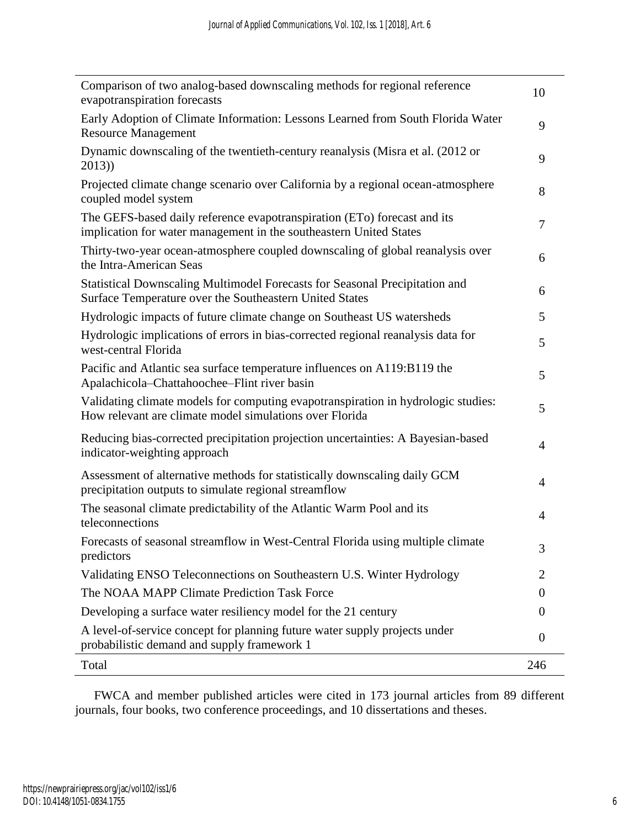| Comparison of two analog-based downscaling methods for regional reference<br>evapotranspiration forecasts                                      | 10             |
|------------------------------------------------------------------------------------------------------------------------------------------------|----------------|
| Early Adoption of Climate Information: Lessons Learned from South Florida Water<br><b>Resource Management</b>                                  | 9              |
| Dynamic downscaling of the twentieth-century reanalysis (Misra et al. (2012 or<br>2013)                                                        | 9              |
| Projected climate change scenario over California by a regional ocean-atmosphere<br>coupled model system                                       | 8              |
| The GEFS-based daily reference evapotranspiration (ETo) forecast and its<br>implication for water management in the southeastern United States | 7              |
| Thirty-two-year ocean-atmosphere coupled downscaling of global reanalysis over<br>the Intra-American Seas                                      | 6              |
| Statistical Downscaling Multimodel Forecasts for Seasonal Precipitation and<br>Surface Temperature over the Southeastern United States         | 6              |
| Hydrologic impacts of future climate change on Southeast US watersheds                                                                         | 5              |
| Hydrologic implications of errors in bias-corrected regional reanalysis data for<br>west-central Florida                                       | 5              |
| Pacific and Atlantic sea surface temperature influences on A119:B119 the<br>Apalachicola-Chattahoochee-Flint river basin                       | 5              |
| Validating climate models for computing evapotranspiration in hydrologic studies:<br>How relevant are climate model simulations over Florida   | 5              |
| Reducing bias-corrected precipitation projection uncertainties: A Bayesian-based<br>indicator-weighting approach                               | 4              |
| Assessment of alternative methods for statistically downscaling daily GCM<br>precipitation outputs to simulate regional streamflow             | 4              |
| The seasonal climate predictability of the Atlantic Warm Pool and its<br>teleconnections                                                       | $\overline{4}$ |
| Forecasts of seasonal streamflow in West-Central Florida using multiple climate<br>predictors                                                  | 3              |
| Validating ENSO Teleconnections on Southeastern U.S. Winter Hydrology                                                                          | 2              |
| The NOAA MAPP Climate Prediction Task Force                                                                                                    | 0              |
| Developing a surface water resiliency model for the 21 century                                                                                 | $\Omega$       |
| A level-of-service concept for planning future water supply projects under<br>probabilistic demand and supply framework 1                      | $\theta$       |
| Total                                                                                                                                          | 246            |

FWCA and member published articles were cited in 173 journal articles from 89 different journals, four books, two conference proceedings, and 10 dissertations and theses.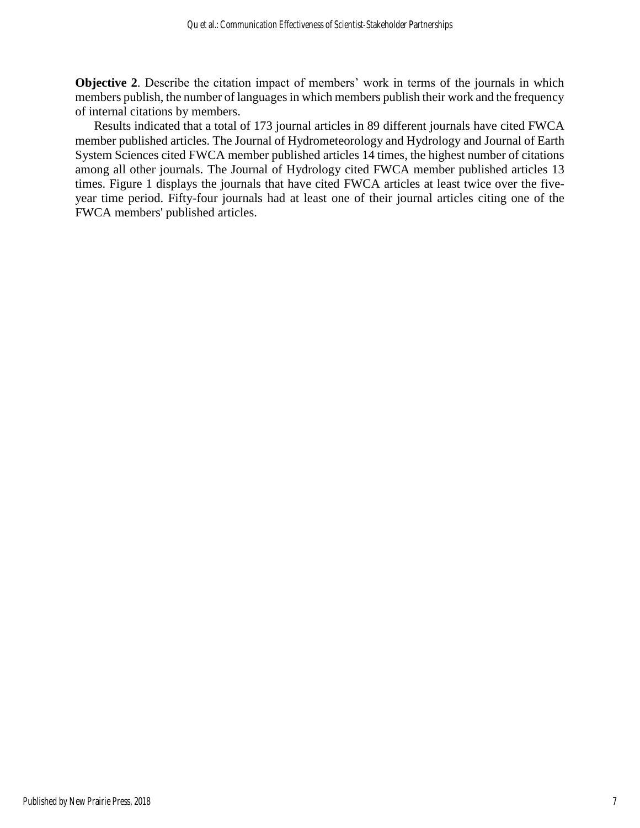**Objective 2**. Describe the citation impact of members' work in terms of the journals in which members publish, the number of languages in which members publish their work and the frequency of internal citations by members.

Results indicated that a total of 173 journal articles in 89 different journals have cited FWCA member published articles. The Journal of Hydrometeorology and Hydrology and Journal of Earth System Sciences cited FWCA member published articles 14 times, the highest number of citations among all other journals. The Journal of Hydrology cited FWCA member published articles 13 times. Figure 1 displays the journals that have cited FWCA articles at least twice over the fiveyear time period. Fifty-four journals had at least one of their journal articles citing one of the FWCA members' published articles.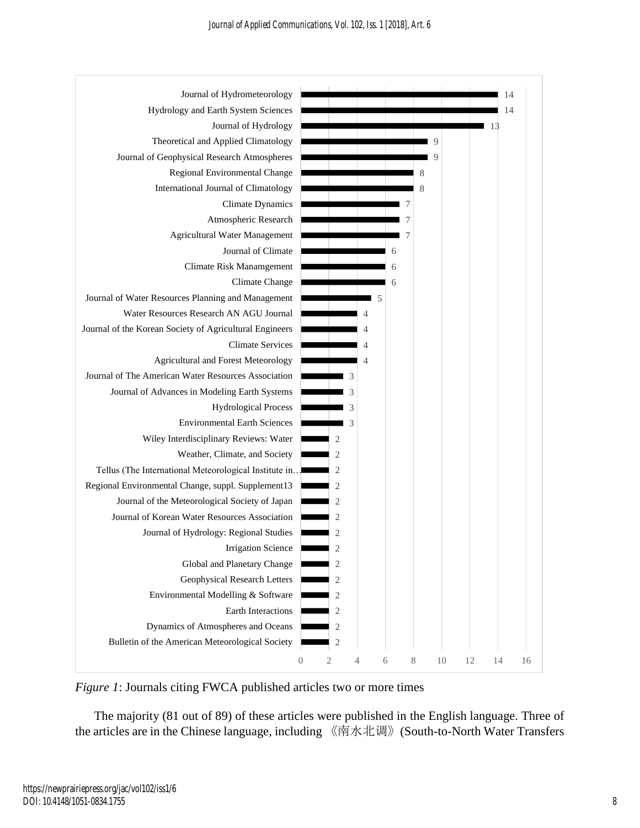

*Figure 1*: Journals citing FWCA published articles two or more times

The majority (81 out of 89) of these articles were published in the English language. Three of the articles are in the Chinese language, including 《南水北调》(South-to-North Water Transfers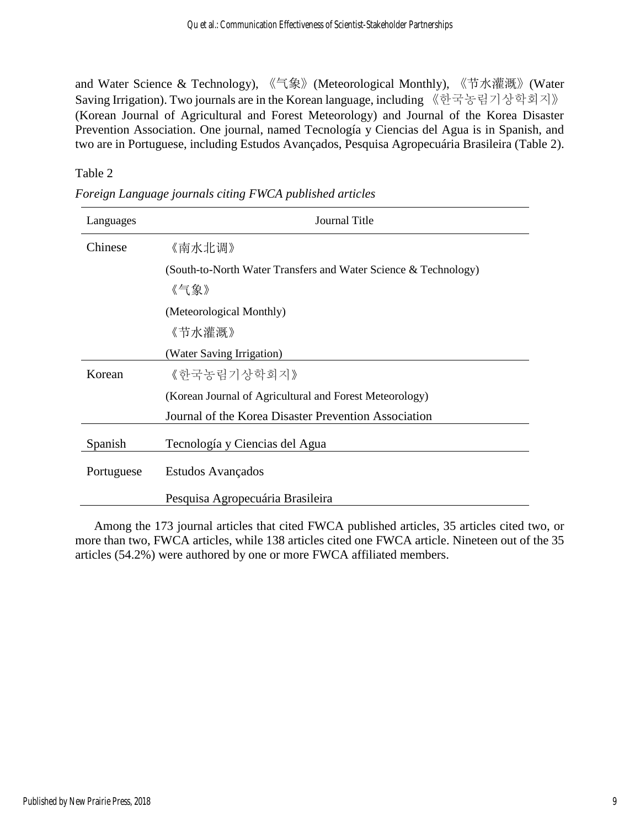and Water Science & Technology), 《气象》(Meteorological Monthly), 《节水灌溉》(Water Saving Irrigation). Two journals are in the Korean language, including 《한국농림기상학회지》 (Korean Journal of Agricultural and Forest Meteorology) and Journal of the Korea Disaster Prevention Association. One journal, named Tecnología y Ciencias del Agua is in Spanish, and two are in Portuguese, including Estudos Avançados, Pesquisa Agropecuária Brasileira (Table 2).

Table 2

| Languages  | Journal Title                                                   |  |  |
|------------|-----------------------------------------------------------------|--|--|
| Chinese    | 《南水北调》                                                          |  |  |
|            | (South-to-North Water Transfers and Water Science & Technology) |  |  |
|            | 《气象》                                                            |  |  |
|            | (Meteorological Monthly)                                        |  |  |
|            | 《节水灌溉》                                                          |  |  |
|            | (Water Saving Irrigation)                                       |  |  |
| Korean     | 《한국농림기상학회지》                                                     |  |  |
|            | (Korean Journal of Agricultural and Forest Meteorology)         |  |  |
|            | Journal of the Korea Disaster Prevention Association            |  |  |
| Spanish    | Tecnología y Ciencias del Agua                                  |  |  |
| Portuguese | Estudos Avançados                                               |  |  |
|            | Pesquisa Agropecuária Brasileira                                |  |  |

*Foreign Language journals citing FWCA published articles* 

Among the 173 journal articles that cited FWCA published articles, 35 articles cited two, or more than two, FWCA articles, while 138 articles cited one FWCA article. Nineteen out of the 35 articles (54.2%) were authored by one or more FWCA affiliated members.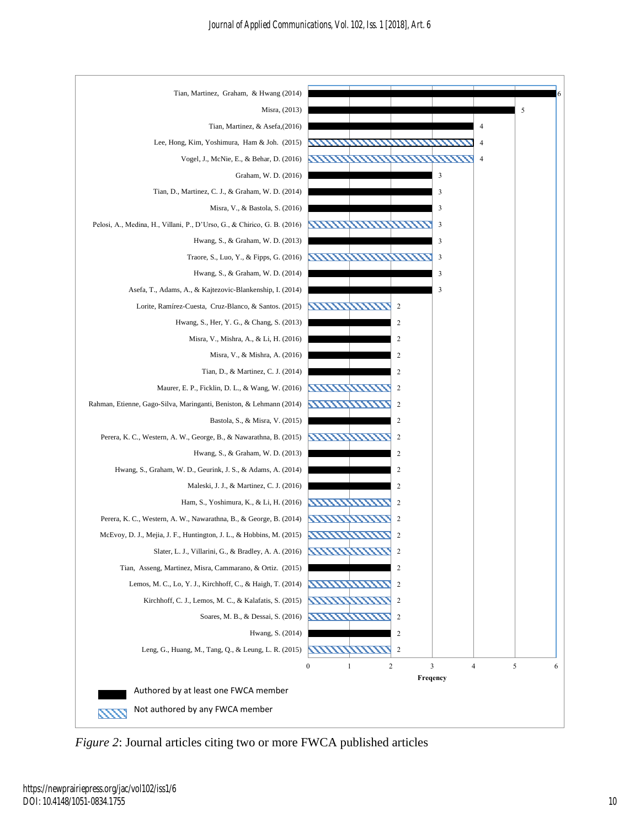

*Figure 2*: Journal articles citing two or more FWCA published articles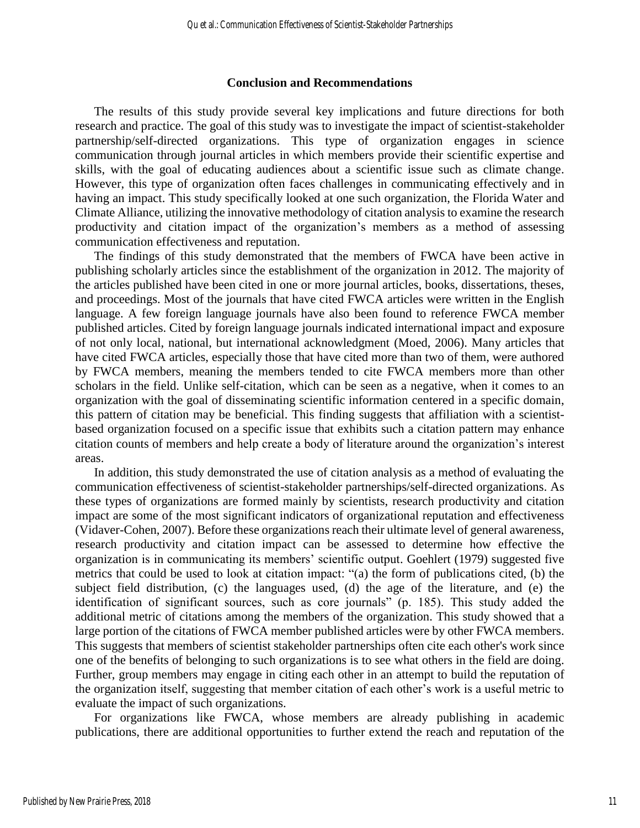#### **Conclusion and Recommendations**

The results of this study provide several key implications and future directions for both research and practice. The goal of this study was to investigate the impact of scientist-stakeholder partnership/self-directed organizations. This type of organization engages in science communication through journal articles in which members provide their scientific expertise and skills, with the goal of educating audiences about a scientific issue such as climate change. However, this type of organization often faces challenges in communicating effectively and in having an impact. This study specifically looked at one such organization, the Florida Water and Climate Alliance, utilizing the innovative methodology of citation analysis to examine the research productivity and citation impact of the organization's members as a method of assessing communication effectiveness and reputation.

The findings of this study demonstrated that the members of FWCA have been active in publishing scholarly articles since the establishment of the organization in 2012. The majority of the articles published have been cited in one or more journal articles, books, dissertations, theses, and proceedings. Most of the journals that have cited FWCA articles were written in the English language. A few foreign language journals have also been found to reference FWCA member published articles. Cited by foreign language journals indicated international impact and exposure of not only local, national, but international acknowledgment (Moed, 2006). Many articles that have cited FWCA articles, especially those that have cited more than two of them, were authored by FWCA members, meaning the members tended to cite FWCA members more than other scholars in the field. Unlike self-citation, which can be seen as a negative, when it comes to an organization with the goal of disseminating scientific information centered in a specific domain, this pattern of citation may be beneficial. This finding suggests that affiliation with a scientistbased organization focused on a specific issue that exhibits such a citation pattern may enhance citation counts of members and help create a body of literature around the organization's interest areas.

In addition, this study demonstrated the use of citation analysis as a method of evaluating the communication effectiveness of scientist-stakeholder partnerships/self-directed organizations. As these types of organizations are formed mainly by scientists, research productivity and citation impact are some of the most significant indicators of organizational reputation and effectiveness (Vidaver-Cohen, 2007). Before these organizations reach their ultimate level of general awareness, research productivity and citation impact can be assessed to determine how effective the organization is in communicating its members' scientific output. Goehlert (1979) suggested five metrics that could be used to look at citation impact: "(a) the form of publications cited, (b) the subject field distribution, (c) the languages used, (d) the age of the literature, and (e) the identification of significant sources, such as core journals" (p. 185). This study added the additional metric of citations among the members of the organization. This study showed that a large portion of the citations of FWCA member published articles were by other FWCA members. This suggests that members of scientist stakeholder partnerships often cite each other's work since one of the benefits of belonging to such organizations is to see what others in the field are doing. Further, group members may engage in citing each other in an attempt to build the reputation of the organization itself, suggesting that member citation of each other's work is a useful metric to evaluate the impact of such organizations.

For organizations like FWCA, whose members are already publishing in academic publications, there are additional opportunities to further extend the reach and reputation of the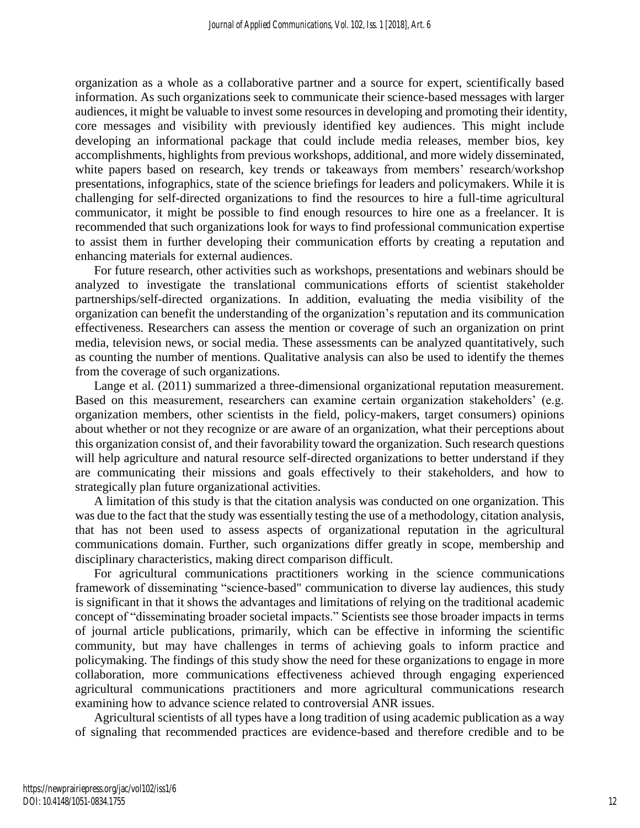organization as a whole as a collaborative partner and a source for expert, scientifically based information. As such organizations seek to communicate their science-based messages with larger audiences, it might be valuable to invest some resources in developing and promoting their identity, core messages and visibility with previously identified key audiences. This might include developing an informational package that could include media releases, member bios, key accomplishments, highlights from previous workshops, additional, and more widely disseminated, white papers based on research, key trends or takeaways from members' research/workshop presentations, infographics, state of the science briefings for leaders and policymakers. While it is challenging for self-directed organizations to find the resources to hire a full-time agricultural communicator, it might be possible to find enough resources to hire one as a freelancer. It is recommended that such organizations look for ways to find professional communication expertise to assist them in further developing their communication efforts by creating a reputation and enhancing materials for external audiences.

For future research, other activities such as workshops, presentations and webinars should be analyzed to investigate the translational communications efforts of scientist stakeholder partnerships/self-directed organizations. In addition, evaluating the media visibility of the organization can benefit the understanding of the organization's reputation and its communication effectiveness. Researchers can assess the mention or coverage of such an organization on print media, television news, or social media. These assessments can be analyzed quantitatively, such as counting the number of mentions. Qualitative analysis can also be used to identify the themes from the coverage of such organizations.

Lange et al. (2011) summarized a three-dimensional organizational reputation measurement. Based on this measurement, researchers can examine certain organization stakeholders' (e.g. organization members, other scientists in the field, policy-makers, target consumers) opinions about whether or not they recognize or are aware of an organization, what their perceptions about this organization consist of, and their favorability toward the organization. Such research questions will help agriculture and natural resource self-directed organizations to better understand if they are communicating their missions and goals effectively to their stakeholders, and how to strategically plan future organizational activities.

A limitation of this study is that the citation analysis was conducted on one organization. This was due to the fact that the study was essentially testing the use of a methodology, citation analysis, that has not been used to assess aspects of organizational reputation in the agricultural communications domain. Further, such organizations differ greatly in scope, membership and disciplinary characteristics, making direct comparison difficult.

For agricultural communications practitioners working in the science communications framework of disseminating "science-based" communication to diverse lay audiences, this study is significant in that it shows the advantages and limitations of relying on the traditional academic concept of "disseminating broader societal impacts." Scientists see those broader impacts in terms of journal article publications, primarily, which can be effective in informing the scientific community, but may have challenges in terms of achieving goals to inform practice and policymaking. The findings of this study show the need for these organizations to engage in more collaboration, more communications effectiveness achieved through engaging experienced agricultural communications practitioners and more agricultural communications research examining how to advance science related to controversial ANR issues.

Agricultural scientists of all types have a long tradition of using academic publication as a way of signaling that recommended practices are evidence-based and therefore credible and to be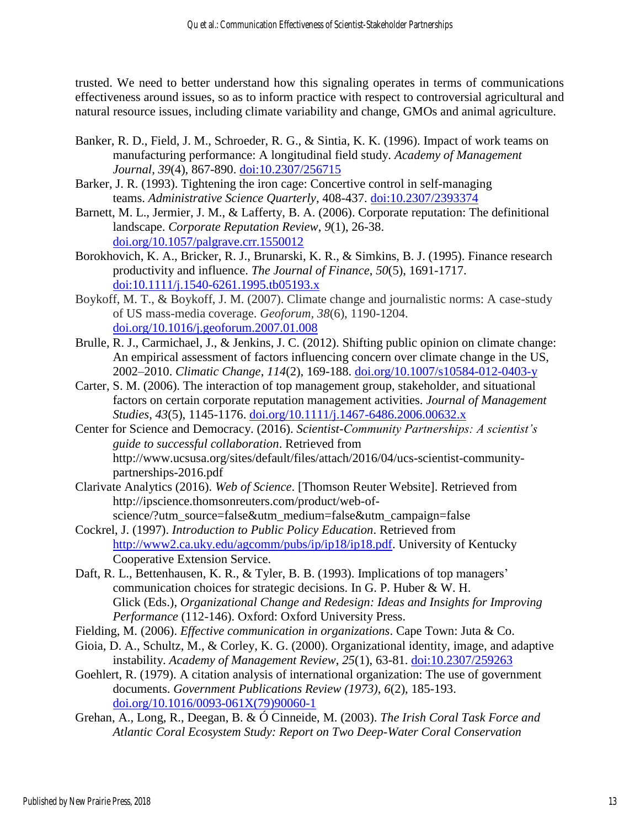trusted. We need to better understand how this signaling operates in terms of communications effectiveness around issues, so as to inform practice with respect to controversial agricultural and natural resource issues, including climate variability and change, GMOs and animal agriculture.

- Banker, R. D., Field, J. M., Schroeder, R. G., & Sintia, K. K. (1996). Impact of work teams on manufacturing performance: A longitudinal field study. *Academy of Management Journal*, *39*(4), 867-890. [doi:10.2307/256715](https://journals.aom.org/doi/abs/10.5465/256715)
- Barker, J. R. (1993). Tightening the iron cage: Concertive control in self-managing teams. *Administrative Science Quarterly*, 408-437. [doi:10.2307/2393374](http://www.jstor.org/stable/2393374)
- Barnett, M. L., Jermier, J. M., & Lafferty, B. A. (2006). Corporate reputation: The definitional landscape. *Corporate Reputation Review*, *9*(1), 26-38. [doi.org/10.1057/palgrave.crr.1550012](https://doi.org/10.1057/palgrave.crr.1550012)
- Borokhovich, K. A., Bricker, R. J., Brunarski, K. R., & Simkins, B. J. (1995). Finance research productivity and influence. *The Journal of Finance*, *50*(5), 1691-1717. <doi:10.1111/j.1540-6261.1995.tb05193.x>
- Boykoff, M. T., & Boykoff, J. M. (2007). Climate change and journalistic norms: A case-study of US mass-media coverage. *Geoforum, 38*(6), 1190-1204. [doi.org/10.1016/j.geoforum.2007.01.008](https://doi.org/10.1016/j.geoforum.2007.01.008)
- Brulle, R. J., Carmichael, J., & Jenkins, J. C. (2012). Shifting public opinion on climate change: An empirical assessment of factors influencing concern over climate change in the US, 2002–2010. *Climatic Change*, *114*(2), 169-188. [doi.org/10.1007/s10584-012-0403-y](https://doi.org/10.1007/s10584-012-0403-y)
- Carter, S. M. (2006). The interaction of top management group, stakeholder, and situational factors on certain corporate reputation management activities. *Journal of Management Studies*, *43*(5), 1145-1176. [doi.org/10.1111/j.1467-6486.2006.00632.x](https://doi.org/10.1111/j.1467-6486.2006.00632.x)
- Center for Science and Democracy. (2016). *Scientist-Community Partnerships: A scientist's guide to successful collaboration*. Retrieved from http://www.ucsusa.org/sites/default/files/attach/2016/04/ucs-scientist-communitypartnerships-2016.pdf
- Clarivate Analytics (2016). *Web of Science*. [Thomson Reuter Website]. Retrieved from http://ipscience.thomsonreuters.com/product/web-ofscience/?utm\_source=false&utm\_medium=false&utm\_campaign=false
- Cockrel, J. (1997). *Introduction to Public Policy Education*. Retrieved from [http://www2.ca.uky.edu/agcomm/pubs/ip/ip18/ip18.pdf.](http://www2.ca.uky.edu/agcomm/pubs/ip/ip18/ip18.pdf) University of Kentucky Cooperative Extension Service.
- Daft, R. L., Bettenhausen, K. R., & Tyler, B. B. (1993). Implications of top managers' communication choices for strategic decisions. In G. P. Huber & W. H. Glick (Eds.), *Organizational Change and Redesign: Ideas and Insights for Improving Performance* (112-146). Oxford: Oxford University Press.
- Fielding, M. (2006). *Effective communication in organizations*. Cape Town: Juta & Co.
- Gioia, D. A., Schultz, M., & Corley, K. G. (2000). Organizational identity, image, and adaptive instability. *Academy of Management Review*, *25*(1), 63-81. [doi:10.2307/259263](https://journals.aom.org/doi/abs/10.5465/amr.2000.2791603)
- Goehlert, R. (1979). A citation analysis of international organization: The use of government documents. *Government Publications Review (1973)*, *6*(2), 185-193. [doi.org/10.1016/0093-061X\(79\)90060-1](https://doi.org/10.1016/0093-061X(79)90060-1)
- Grehan, A., Long, R., Deegan, B. & Ó Cinneide, M. (2003). *The Irish Coral Task Force and Atlantic Coral Ecosystem Study: Report on Two Deep-Water Coral Conservation*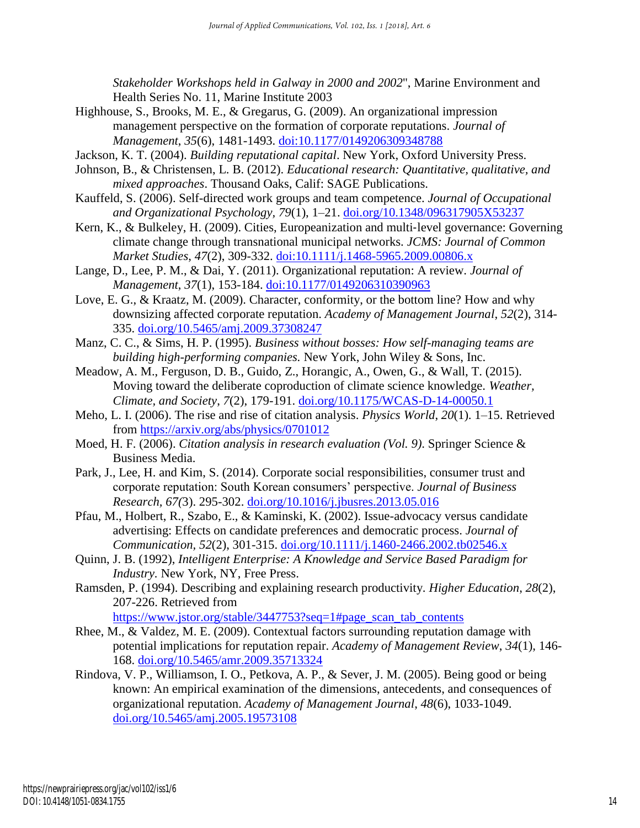*Stakeholder Workshops held in Galway in 2000 and 2002*", Marine Environment and Health Series No. 11, Marine Institute 2003

- Highhouse, S., Brooks, M. E., & Gregarus, G. (2009). An organizational impression management perspective on the formation of corporate reputations. *Journal of Management*, *35*(6), 1481-1493. [doi:10.1177/0149206309348788](https://doi.org/10.1177/0149206309348788)
- Jackson, K. T. (2004). *Building reputational capital*. New York, Oxford University Press.
- Johnson, B., & Christensen, L. B. (2012). *Educational research: Quantitative, qualitative, and mixed approaches*. Thousand Oaks, Calif: SAGE Publications.
- Kauffeld, S. (2006). Self-directed work groups and team competence. *Journal of Occupational and Organizational Psychology, 79*(1), 1–21. [doi.org/10.1348/096317905X53237](https://doi.org/10.1348/096317905X53237)
- Kern, K., & Bulkeley, H. (2009). Cities, Europeanization and multi-level governance: Governing climate change through transnational municipal networks. *JCMS: Journal of Common Market Studies*, *47*(2), 309-332. <doi:10.1111/j.1468-5965.2009.00806.x>
- Lange, D., Lee, P. M., & Dai, Y. (2011). Organizational reputation: A review. *Journal of Management*, *37*(1), 153-184. <doi:10.1177/0149206310390963>
- Love, E. G., & Kraatz, M. (2009). Character, conformity, or the bottom line? How and why downsizing affected corporate reputation. *Academy of Management Journal*, *52*(2), 314- 335. [doi.org/10.5465/amj.2009.37308247](https://doi.org/10.5465/amj.2009.37308247)
- Manz, C. C., & Sims, H. P. (1995). *Business without bosses: How self-managing teams are building high-performing companies.* New York, John Wiley & Sons, Inc.
- Meadow, A. M., Ferguson, D. B., Guido, Z., Horangic, A., Owen, G., & Wall, T. (2015). Moving toward the deliberate coproduction of climate science knowledge. *Weather, Climate, and Society*, *7*(2), 179-191. [doi.org/10.1175/WCAS-D-14-00050.1](https://doi.org/10.1175/WCAS-D-14-00050.1)
- Meho, L. I. (2006). The rise and rise of citation analysis. *Physics World*, *20*(1). 1–15. Retrieved from<https://arxiv.org/abs/physics/0701012>
- Moed, H. F. (2006). *Citation analysis in research evaluation (Vol. 9)*. Springer Science & Business Media.
- Park, J., Lee, H. and Kim, S. (2014). Corporate social responsibilities, consumer trust and corporate reputation: South Korean consumers' perspective. *Journal of Business Research, 67(*3). 295-302. [doi.org/10.1016/j.jbusres.2013.05.016](https://doi.org/10.1016/j.jbusres.2013.05.016)
- Pfau, M., Holbert, R., Szabo, E., & Kaminski, K. (2002). Issue-advocacy versus candidate advertising: Effects on candidate preferences and democratic process. *Journal of Communication, 52*(2), 301-315. [doi.org/10.1111/j.1460-2466.2002.tb02546.x](https://doi.org/10.1111/j.1460-2466.2002.tb02546.x)
- Quinn, J. B. (1992), *Intelligent Enterprise: A Knowledge and Service Based Paradigm for Industry.* New York, NY, Free Press.
- Ramsden, P. (1994). Describing and explaining research productivity. *Higher Education*, *28*(2), 207-226. Retrieved from

[https://www.jstor.org/stable/3447753?seq=1#page\\_scan\\_tab\\_contents](https://www.jstor.org/stable/3447753?seq=1#page_scan_tab_contents)

- Rhee, M., & Valdez, M. E. (2009). Contextual factors surrounding reputation damage with potential implications for reputation repair. *Academy of Management Review*, *34*(1), 146- 168. [doi.org/10.5465/amr.2009.35713324](https://doi.org/10.5465/amr.2009.35713324)
- Rindova, V. P., Williamson, I. O., Petkova, A. P., & Sever, J. M. (2005). Being good or being known: An empirical examination of the dimensions, antecedents, and consequences of organizational reputation. *Academy of Management Journal*, *48*(6), 1033-1049. [doi.org/10.5465/amj.2005.19573108](https://doi.org/10.5465/amj.2005.19573108)